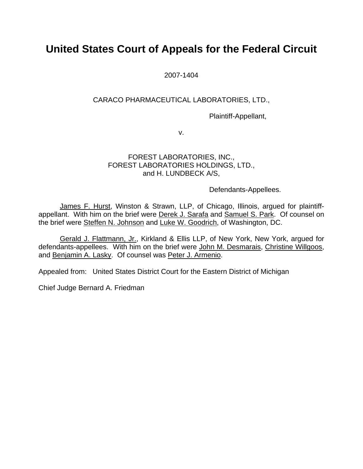# **United States Court of Appeals for the Federal Circuit**

2007-1404

# CARACO PHARMACEUTICAL LABORATORIES, LTD.,

Plaintiff-Appellant,

v.

## FOREST LABORATORIES, INC., FOREST LABORATORIES HOLDINGS, LTD., and H. LUNDBECK A/S,

Defendants-Appellees.

 James F. Hurst, Winston & Strawn, LLP, of Chicago, Illinois, argued for plaintiffappellant. With him on the brief were Derek J. Sarafa and Samuel S. Park. Of counsel on the brief were Steffen N. Johnson and Luke W. Goodrich, of Washington, DC.

 Gerald J. Flattmann, Jr., Kirkland & Ellis LLP, of New York, New York, argued for defendants-appellees. With him on the brief were John M. Desmarais, Christine Willgoos, and Benjamin A. Lasky. Of counsel was Peter J. Armenio.

Appealed from: United States District Court for the Eastern District of Michigan

Chief Judge Bernard A. Friedman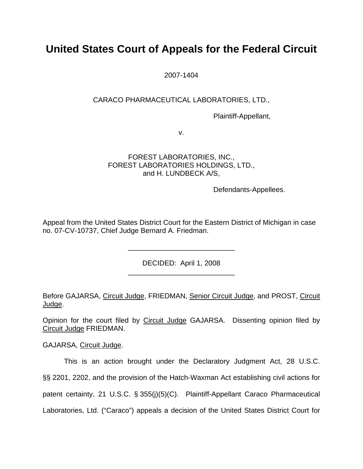# **United States Court of Appeals for the Federal Circuit**

2007-1404

# CARACO PHARMACEUTICAL LABORATORIES, LTD.,

Plaintiff-Appellant,

v.

# FOREST LABORATORIES, INC., FOREST LABORATORIES HOLDINGS, LTD., and H. LUNDBECK A/S,

Defendants-Appellees.

Appeal from the United States District Court for the Eastern District of Michigan in case no. 07-CV-10737, Chief Judge Bernard A. Friedman.

> DECIDED: April 1, 2008 \_\_\_\_\_\_\_\_\_\_\_\_\_\_\_\_\_\_\_\_\_\_\_\_\_\_\_

> \_\_\_\_\_\_\_\_\_\_\_\_\_\_\_\_\_\_\_\_\_\_\_\_\_\_\_

Before GAJARSA, Circuit Judge, FRIEDMAN, Senior Circuit Judge, and PROST, Circuit Judge.

Opinion for the court filed by Circuit Judge GAJARSA. Dissenting opinion filed by Circuit Judge FRIEDMAN.

GAJARSA, Circuit Judge.

This is an action brought under the Declaratory Judgment Act, 28 U.S.C. §§ 2201, 2202, and the provision of the Hatch-Waxman Act establishing civil actions for patent certainty, 21 U.S.C. § 355(j)(5)(C). Plaintiff-Appellant Caraco Pharmaceutical Laboratories, Ltd. ("Caraco") appeals a decision of the United States District Court for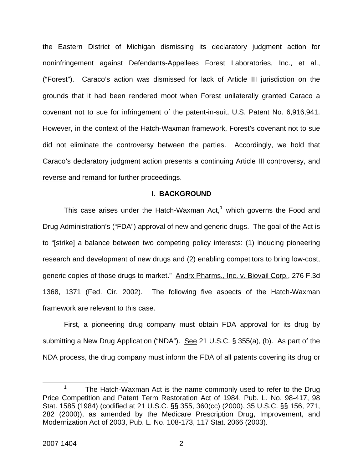the Eastern District of Michigan dismissing its declaratory judgment action for noninfringement against Defendants-Appellees Forest Laboratories, Inc., et al., ("Forest"). Caraco's action was dismissed for lack of Article III jurisdiction on the grounds that it had been rendered moot when Forest unilaterally granted Caraco a covenant not to sue for infringement of the patent-in-suit, U.S. Patent No. 6,916,941. However, in the context of the Hatch-Waxman framework, Forest's covenant not to sue did not eliminate the controversy between the parties. Accordingly, we hold that Caraco's declaratory judgment action presents a continuing Article III controversy, and reverse and remand for further proceedings.

#### **I. BACKGROUND**

This case arises under the Hatch-Waxman Act, $1$  which governs the Food and Drug Administration's ("FDA") approval of new and generic drugs.The goal of the Act is to "[strike] a balance between two competing policy interests: (1) inducing pioneering research and development of new drugs and (2) enabling competitors to bring low-cost, generic copies of those drugs to market." Andrx Pharms., Inc. v. Biovail Corp., 276 F.3d 1368, 1371 (Fed. Cir. 2002). The following five aspects of the Hatch-Waxman framework are relevant to this case.

First, a pioneering drug company must obtain FDA approval for its drug by submitting a New Drug Application ("NDA"). See 21 U.S.C. § 355(a), (b). As part of the NDA process, the drug company must inform the FDA of all patents covering its drug or

<span id="page-2-0"></span> <sup>1</sup> The Hatch-Waxman Act is the name commonly used to refer to the Drug Price Competition and Patent Term Restoration Act of 1984, Pub. L. No. 98-417, 98 Stat. 1585 (1984) (codified at 21 U.S.C. §§ 355, 360(cc) (2000), 35 U.S.C. §§ 156, 271, 282 (2000)), as amended by the Medicare Prescription Drug, Improvement, and Modernization Act of 2003, Pub. L. No. 108-173, 117 Stat. 2066 (2003).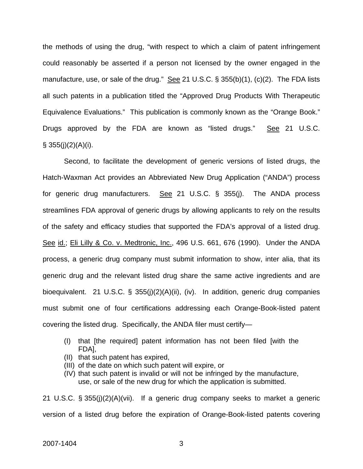the methods of using the drug, "with respect to which a claim of patent infringement could reasonably be asserted if a person not licensed by the owner engaged in the manufacture, use, or sale of the drug." See 21 U.S.C. § 355(b)(1), (c)(2). The FDA lists all such patents in a publication titled the "Approved Drug Products With Therapeutic Equivalence Evaluations." This publication is commonly known as the "Orange Book." Drugs approved by the FDA are known as "listed drugs." See 21 U.S.C.  $§ 355(i)(2)(A)(i).$ 

Second, to facilitate the development of generic versions of listed drugs, the Hatch-Waxman Act provides an Abbreviated New Drug Application ("ANDA") process for generic drug manufacturers. See 21 U.S.C.  $\S$  355(j). The ANDA process streamlines FDA approval of generic drugs by allowing applicants to rely on the results of the safety and efficacy studies that supported the FDA's approval of a listed drug. See id.; Eli Lilly & Co. v. Medtronic, Inc., 496 U.S. 661, 676 (1990). Under the ANDA process, a generic drug company must submit information to show, inter alia, that its generic drug and the relevant listed drug share the same active ingredients and are bioequivalent. 21 U.S.C. § 355(j)(2)(A)(ii), (iv). In addition, generic drug companies must submit one of four certifications addressing each Orange-Book-listed patent covering the listed drug. Specifically, the ANDA filer must certify—

- (I) that [the required] patent information has not been filed [with the FDA],
- (II) that such patent has expired,
- (III) of the date on which such patent will expire, or
- (IV) that such patent is invalid or will not be infringed by the manufacture, use, or sale of the new drug for which the application is submitted.

21 U.S.C. § 355(j)(2)(A)(vii). If a generic drug company seeks to market a generic version of a listed drug before the expiration of Orange-Book-listed patents covering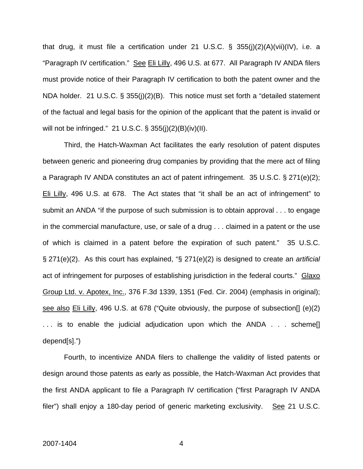that drug, it must file a certification under 21 U.S.C. § 355(j)(2)(A)(vii)(IV), i.e. a "Paragraph IV certification." See Eli Lilly, 496 U.S. at 677. All Paragraph IV ANDA filers must provide notice of their Paragraph IV certification to both the patent owner and the NDA holder. 21 U.S.C. § 355(j)(2)(B). This notice must set forth a "detailed statement of the factual and legal basis for the opinion of the applicant that the patent is invalid or will not be infringed." 21 U.S.C. § 355(j)(2)(B)(iv)(II).

Third, the Hatch-Waxman Act facilitates the early resolution of patent disputes between generic and pioneering drug companies by providing that the mere act of filing a Paragraph IV ANDA constitutes an act of patent infringement. 35 U.S.C. § 271(e)(2); Eli Lilly, 496 U.S. at 678. The Act states that "it shall be an act of infringement" to submit an ANDA "if the purpose of such submission is to obtain approval . . . to engage in the commercial manufacture, use, or sale of a drug . . . claimed in a patent or the use of which is claimed in a patent before the expiration of such patent." 35 U.S.C. § 271(e)(2). As this court has explained, "§ 271(e)(2) is designed to create an *artificial* act of infringement for purposes of establishing jurisdiction in the federal courts." Glaxo Group Ltd. v. Apotex, Inc., 376 F.3d 1339, 1351 (Fed. Cir. 2004) (emphasis in original); see also Eli Lilly, 496 U.S. at 678 ("Quite obviously, the purpose of subsection[] (e)(2) . . . is to enable the judicial adjudication upon which the ANDA . . . scheme[] depend[s].")

Fourth, to incentivize ANDA filers to challenge the validity of listed patents or design around those patents as early as possible, the Hatch-Waxman Act provides that the first ANDA applicant to file a Paragraph IV certification ("first Paragraph IV ANDA filer") shall enjoy a 180-day period of generic marketing exclusivity. See 21 U.S.C.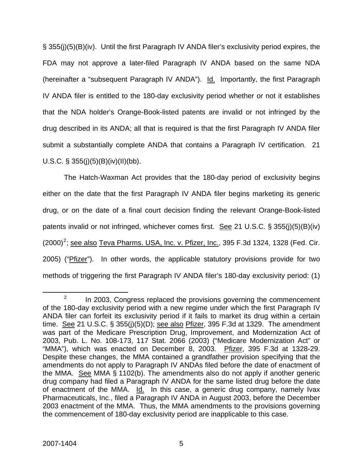§ 355(j)(5)(B)(iv). Until the first Paragraph IV ANDA filer's exclusivity period expires, the FDA may not approve a later-filed Paragraph IV ANDA based on the same NDA (hereinafter a "subsequent Paragraph IV ANDA"). Id. Importantly, the first Paragraph IV ANDA filer is entitled to the 180-day exclusivity period whether or not it establishes that the NDA holder's Orange-Book-listed patents are invalid or not infringed by the drug described in its ANDA; all that is required is that the first Paragraph IV ANDA filer submit a substantially complete ANDA that contains a Paragraph IV certification. 21 U.S.C. § 355(j)(5)(B)(iv)(II)(bb).

The Hatch-Waxman Act provides that the 180-day period of exclusivity begins either on the date that the first Paragraph IV ANDA filer begins marketing its generic drug, or on the date of a final court decision finding the relevant Orange-Book-listed patents invalid or not infringed, whichever comes first. See 21 U.S.C. § 355(j)(5)(B)(iv)  $(2000)^2$  $(2000)^2$  $(2000)^2$ ; see also Teva Pharms. USA, Inc. v. Pfizer, Inc., 395 F.3d 1324, 1328 (Fed. Cir. 2005) ("Pfizer"). In other words, the applicable statutory provisions provide for two methods of triggering the first Paragraph IV ANDA filer's 180-day exclusivity period: (1)

<span id="page-5-0"></span> $\frac{1}{2}$  $10<sup>2</sup>$  In 2003, Congress replaced the provisions governing the commencement of the 180-day exclusivity period with a new regime under which the first Paragraph IV ANDA filer can forfeit its exclusivity period if it fails to market its drug within a certain time. See 21 U.S.C. § 355(j)(5)(D); see also Pfizer, 395 F.3d at 1329. The amendment was part of the Medicare Prescription Drug, Improvement, and Modernization Act of 2003, Pub. L. No. 108-173, 117 Stat. 2066 (2003) ("Medicare Modernization Act" or "MMA"), which was enacted on December 8, 2003. Pfizer, 395 F.3d at 1328-29. Despite these changes, the MMA contained a grandfather provision specifying that the amendments do not apply to Paragraph IV ANDAs filed before the date of enactment of the MMA. See MMA § 1102(b). The amendments also do not apply if another generic drug company had filed a Paragraph IV ANDA for the same listed drug before the date of enactment of the MMA. Id. In this case, a generic drug company, namely Ivax Pharmaceuticals, Inc., filed a Paragraph IV ANDA in August 2003, before the December 2003 enactment of the MMA. Thus, the MMA amendments to the provisions governing the commencement of 180-day exclusivity period are inapplicable to this case.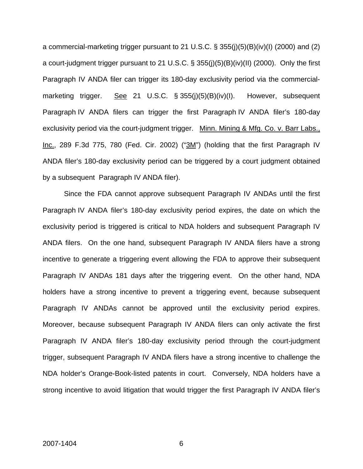a commercial-marketing trigger pursuant to 21 U.S.C. § 355(j)(5)(B)(iv)(I) (2000) and (2) a court-judgment trigger pursuant to 21 U.S.C. § 355(j)(5)(B)(iv)(II) (2000). Only the first Paragraph IV ANDA filer can trigger its 180-day exclusivity period via the commercialmarketing trigger. See 21 U.S.C. § 355(j)(5)(B)(iv)(I). However, subsequent Paragraph IV ANDA filers can trigger the first Paragraph IV ANDA filer's 180-day exclusivity period via the court-judgment trigger. Minn. Mining & Mfg. Co. v. Barr Labs., Inc., 289 F.3d 775, 780 (Fed. Cir. 2002) ("3M") (holding that the first Paragraph IV ANDA filer's 180-day exclusivity period can be triggered by a court judgment obtained by a subsequent Paragraph IV ANDA filer).

Since the FDA cannot approve subsequent Paragraph IV ANDAs until the first Paragraph IV ANDA filer's 180-day exclusivity period expires, the date on which the exclusivity period is triggered is critical to NDA holders and subsequent Paragraph IV ANDA filers. On the one hand, subsequent Paragraph IV ANDA filers have a strong incentive to generate a triggering event allowing the FDA to approve their subsequent Paragraph IV ANDAs 181 days after the triggering event. On the other hand, NDA holders have a strong incentive to prevent a triggering event, because subsequent Paragraph IV ANDAs cannot be approved until the exclusivity period expires. Moreover, because subsequent Paragraph IV ANDA filers can only activate the first Paragraph IV ANDA filer's 180-day exclusivity period through the court-judgment trigger, subsequent Paragraph IV ANDA filers have a strong incentive to challenge the NDA holder's Orange-Book-listed patents in court. Conversely, NDA holders have a strong incentive to avoid litigation that would trigger the first Paragraph IV ANDA filer's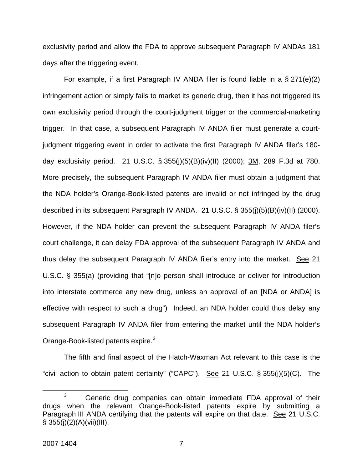exclusivity period and allow the FDA to approve subsequent Paragraph IV ANDAs 181 days after the triggering event.

For example, if a first Paragraph IV ANDA filer is found liable in a § 271(e)(2) infringement action or simply fails to market its generic drug, then it has not triggered its own exclusivity period through the court-judgment trigger or the commercial-marketing trigger. In that case, a subsequent Paragraph IV ANDA filer must generate a courtjudgment triggering event in order to activate the first Paragraph IV ANDA filer's 180 day exclusivity period. 21 U.S.C. § 355(j)(5)(B)(iv)(II) (2000); 3M, 289 F.3d at 780. More precisely, the subsequent Paragraph IV ANDA filer must obtain a judgment that the NDA holder's Orange-Book-listed patents are invalid or not infringed by the drug described in its subsequent Paragraph IV ANDA. 21 U.S.C. § 355(j)(5)(B)(iv)(II) (2000). However, if the NDA holder can prevent the subsequent Paragraph IV ANDA filer's court challenge, it can delay FDA approval of the subsequent Paragraph IV ANDA and thus delay the subsequent Paragraph IV ANDA filer's entry into the market. See 21 U.S.C. § 355(a) (providing that "[n]o person shall introduce or deliver for introduction into interstate commerce any new drug, unless an approval of an [NDA or ANDA] is effective with respect to such a drug") Indeed, an NDA holder could thus delay any subsequent Paragraph IV ANDA filer from entering the market until the NDA holder's Orange-Book-listed patents expire.<sup>[3](#page-7-0)</sup>

The fifth and final aspect of the Hatch-Waxman Act relevant to this case is the "civil action to obtain patent certainty" ("CAPC"). See 21 U.S.C.  $\S 355(j)(5)(C)$ . The

<span id="page-7-0"></span> $\overline{\phantom{a}}$  3  $3$  Generic drug companies can obtain immediate FDA approval of their drugs when the relevant Orange-Book-listed patents expire by submitting a Paragraph III ANDA certifying that the patents will expire on that date. See 21 U.S.C.  $§ 355(i)(2)(A)(vii)(III).$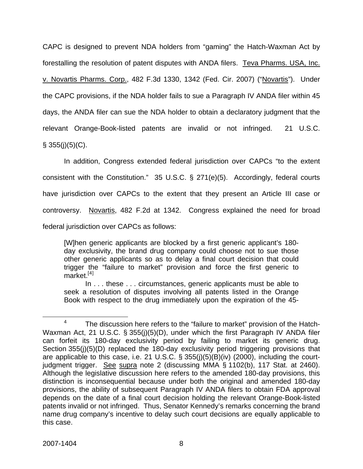CAPC is designed to prevent NDA holders from "gaming" the Hatch-Waxman Act by forestalling the resolution of patent disputes with ANDA filers. Teva Pharms. USA, Inc. v. Novartis Pharms. Corp., 482 F.3d 1330, 1342 (Fed. Cir. 2007) ("Novartis"). Under the CAPC provisions, if the NDA holder fails to sue a Paragraph IV ANDA filer within 45 days, the ANDA filer can sue the NDA holder to obtain a declaratory judgment that the relevant Orange-Book-listed patents are invalid or not infringed. 21 U.S.C.  $\S$  355(j)(5)(C).

In addition, Congress extended federal jurisdiction over CAPCs "to the extent consistent with the Constitution." 35 U.S.C. § 271(e)(5). Accordingly, federal courts have jurisdiction over CAPCs to the extent that they present an Article III case or controversy. Novartis, 482 F.2d at 1342. Congress explained the need for broad federal jurisdiction over CAPCs as follows:

[W]hen generic applicants are blocked by a first generic applicant's 180 day exclusivity, the brand drug company could choose not to sue those other generic applicants so as to delay a final court decision that could trigger the "failure to market" provision and force the first generic to  $m$ arket.<sup>[[4](#page-8-0)]</sup>

In . . . these . . . circumstances, generic applicants must be able to seek a resolution of disputes involving all patents listed in the Orange Book with respect to the drug immediately upon the expiration of the 45-

<span id="page-8-0"></span> $\overline{4}$  $4 - 7$  The discussion here refers to the "failure to market" provision of the Hatch-Waxman Act, 21 U.S.C. § 355(j)(5)(D), under which the first Paragraph IV ANDA filer can forfeit its 180-day exclusivity period by failing to market its generic drug. Section 355(j)(5)(D) replaced the 180-day exclusivity period triggering provisions that are applicable to this case, i.e. 21 U.S.C. § 355(j)(5)(B)(iv) (2000), including the courtjudgment trigger. See supra note 2 (discussing MMA § 1102(b), 117 Stat. at 2460). Although the legislative discussion here refers to the amended 180-day provisions, this distinction is inconsequential because under both the original and amended 180-day provisions, the ability of subsequent Paragraph IV ANDA filers to obtain FDA approval depends on the date of a final court decision holding the relevant Orange-Book-listed patents invalid or not infringed. Thus, Senator Kennedy's remarks concerning the brand name drug company's incentive to delay such court decisions are equally applicable to this case.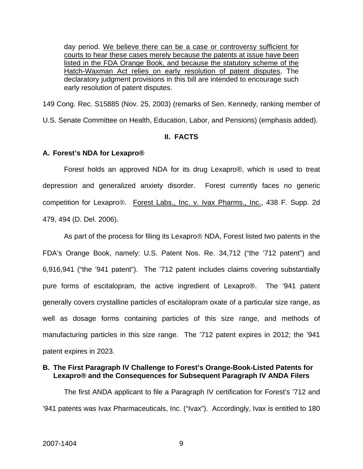day period. We believe there can be a case or controversy sufficient for courts to hear these cases merely because the patents at issue have been listed in the FDA Orange Book, and because the statutory scheme of the Hatch-Waxman Act relies on early resolution of patent disputes. The declaratory judgment provisions in this bill are intended to encourage such early resolution of patent disputes.

149 Cong. Rec. S15885 (Nov. 25, 2003) (remarks of Sen. Kennedy, ranking member of U.S. Senate Committee on Health, Education, Labor, and Pensions) (emphasis added).

#### **II. FACTS**

#### **A. Forest's NDA for Lexapro®**

Forest holds an approved NDA for its drug Lexapro®, which is used to treat depression and generalized anxiety disorder. Forest currently faces no generic competition for Lexapro®. Forest Labs., Inc. v. Ivax Pharms., Inc., 438 F. Supp. 2d 479, 494 (D. Del. 2006).

As part of the process for filing its Lexapro® NDA, Forest listed two patents in the FDA's Orange Book, namely: U.S. Patent Nos. Re. 34,712 ("the '712 patent") and 6,916,941 ("the '941 patent"). The '712 patent includes claims covering substantially pure forms of escitalopram, the active ingredient of Lexapro®. The '941 patent generally covers crystalline particles of escitalopram oxate of a particular size range, as well as dosage forms containing particles of this size range, and methods of manufacturing particles in this size range. The '712 patent expires in 2012; the '941 patent expires in 2023.

#### **B. The First Paragraph IV Challenge to Forest's Orange-Book-Listed Patents for Lexapro® and the Consequences for Subsequent Paragraph IV ANDA Filers**

The first ANDA applicant to file a Paragraph IV certification for Forest's '712 and '941 patents was Ivax Pharmaceuticals, Inc. ("Ivax"). Accordingly, Ivax is entitled to 180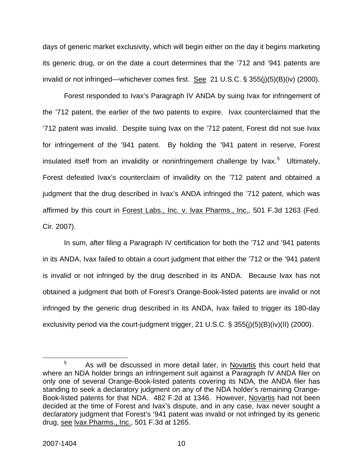days of generic market exclusivity, which will begin either on the day it begins marketing its generic drug, or on the date a court determines that the '712 and '941 patents are invalid or not infringed—whichever comes first. See 21 U.S.C. § 355(j)(5)(B)(iv) (2000).

Forest responded to Ivax's Paragraph IV ANDA by suing Ivax for infringement of the '712 patent, the earlier of the two patents to expire. Ivax counterclaimed that the '712 patent was invalid. Despite suing Ivax on the '712 patent, Forest did not sue Ivax for infringement of the '941 patent. By holding the '941 patent in reserve, Forest insulated itself from an invalidity or noninfringement challenge by Ivax.<sup>[5](#page-10-0)</sup> Ultimately, Forest defeated Ivax's counterclaim of invalidity on the '712 patent and obtained a judgment that the drug described in Ivax's ANDA infringed the '712 patent, which was affirmed by this court in Forest Labs., Inc. v. lvax Pharms., Inc., 501 F.3d 1263 (Fed. Cir. 2007).

In sum, after filing a Paragraph IV certification for both the '712 and '941 patents in its ANDA, Ivax failed to obtain a court judgment that either the '712 or the '941 patent is invalid or not infringed by the drug described in its ANDA. Because Ivax has not obtained a judgment that both of Forest's Orange-Book-listed patents are invalid or not infringed by the generic drug described in its ANDA, Ivax failed to trigger its 180-day exclusivity period via the court-judgment trigger, 21 U.S.C. § 355(j)(5)(B)(iv)(II) (2000).

<span id="page-10-0"></span> $\frac{1}{5}$  $5$  As will be discussed in more detail later, in Novartis this court held that where an NDA holder brings an infringement suit against a Paragraph IV ANDA filer on only one of several Orange-Book-listed patents covering its NDA, the ANDA filer has standing to seek a declaratory judgment on any of the NDA holder's remaining Orange-Book-listed patents for that NDA. 482 F.2d at 1346. However, Novartis had not been decided at the time of Forest and Ivax's dispute, and in any case, Ivax never sought a declaratory judgment that Forest's '941 patent was invalid or not infringed by its generic drug, see lvax Pharms., Inc., 501 F.3d at 1265.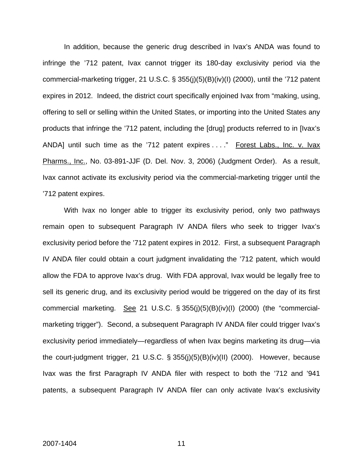In addition, because the generic drug described in Ivax's ANDA was found to infringe the '712 patent, Ivax cannot trigger its 180-day exclusivity period via the commercial-marketing trigger, 21 U.S.C. § 355(j)(5)(B)(iv)(I) (2000), until the '712 patent expires in 2012. Indeed, the district court specifically enjoined Ivax from "making, using, offering to sell or selling within the United States, or importing into the United States any products that infringe the '712 patent, including the [drug] products referred to in [Ivax's ANDA] until such time as the '712 patent expires . . . " Forest Labs., Inc. v. Ivax Pharms., Inc., No. 03-891-JJF (D. Del. Nov. 3, 2006) (Judgment Order). As a result, Ivax cannot activate its exclusivity period via the commercial-marketing trigger until the '712 patent expires.

With Ivax no longer able to trigger its exclusivity period, only two pathways remain open to subsequent Paragraph IV ANDA filers who seek to trigger Ivax's exclusivity period before the '712 patent expires in 2012. First, a subsequent Paragraph IV ANDA filer could obtain a court judgment invalidating the '712 patent, which would allow the FDA to approve Ivax's drug. With FDA approval, Ivax would be legally free to sell its generic drug, and its exclusivity period would be triggered on the day of its first commercial marketing. See 21 U.S.C.  $\S 355(j)(5)(B)(iv)(I)$  (2000) (the "commercialmarketing trigger"). Second, a subsequent Paragraph IV ANDA filer could trigger Ivax's exclusivity period immediately—regardless of when Ivax begins marketing its drug—via the court-judgment trigger, 21 U.S.C. § 355(j)(5)(B)(iv)(II) (2000). However, because Ivax was the first Paragraph IV ANDA filer with respect to both the '712 and '941 patents, a subsequent Paragraph IV ANDA filer can only activate Ivax's exclusivity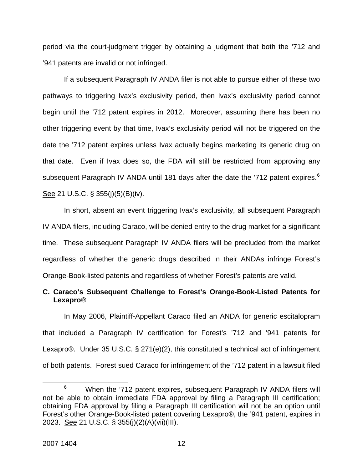period via the court-judgment trigger by obtaining a judgment that both the '712 and '941 patents are invalid or not infringed.

If a subsequent Paragraph IV ANDA filer is not able to pursue either of these two pathways to triggering Ivax's exclusivity period, then Ivax's exclusivity period cannot begin until the '712 patent expires in 2012. Moreover, assuming there has been no other triggering event by that time, Ivax's exclusivity period will not be triggered on the date the '712 patent expires unless Ivax actually begins marketing its generic drug on that date. Even if Ivax does so, the FDA will still be restricted from approving any subsequent Paragraph IV ANDA until 181 days after the date the '712 patent expires. $6$ See 21 U.S.C. § 355(j)(5)(B)(iv).

In short, absent an event triggering Ivax's exclusivity, all subsequent Paragraph IV ANDA filers, including Caraco, will be denied entry to the drug market for a significant time. These subsequent Paragraph IV ANDA filers will be precluded from the market regardless of whether the generic drugs described in their ANDAs infringe Forest's Orange-Book-listed patents and regardless of whether Forest's patents are valid.

### **C. Caraco's Subsequent Challenge to Forest's Orange-Book-Listed Patents for Lexapro®**

In May 2006, Plaintiff-Appellant Caraco filed an ANDA for generic escitalopram that included a Paragraph IV certification for Forest's '712 and '941 patents for Lexapro®. Under 35 U.S.C. § 271(e)(2), this constituted a technical act of infringement of both patents. Forest sued Caraco for infringement of the '712 patent in a lawsuit filed

<span id="page-12-0"></span> <sup>6</sup>  $6$  When the '712 patent expires, subsequent Paragraph IV ANDA filers will not be able to obtain immediate FDA approval by filing a Paragraph III certification; obtaining FDA approval by filing a Paragraph III certification will not be an option until Forest's other Orange-Book-listed patent covering Lexapro®, the '941 patent, expires in 2023. See 21 U.S.C. § 355(j)(2)(A)(vii)(III).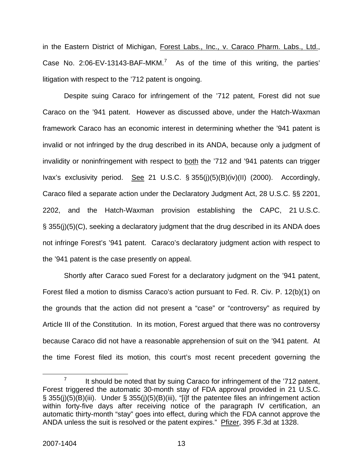in the Eastern District of Michigan, Forest Labs., Inc., v. Caraco Pharm. Labs., Ltd., Case No. 2:06-EV-13143-BAF-MKM.<sup>[7](#page-13-0)</sup> As of the time of this writing, the parties' litigation with respect to the '712 patent is ongoing.

Despite suing Caraco for infringement of the '712 patent, Forest did not sue Caraco on the '941 patent. However as discussed above, under the Hatch-Waxman framework Caraco has an economic interest in determining whether the '941 patent is invalid or not infringed by the drug described in its ANDA, because only a judgment of invalidity or noninfringement with respect to both the '712 and '941 patents can trigger Ivax's exclusivity period. See 21 U.S.C.  $\S 355(j)(5)(B)(iv)(II)$  (2000). Accordingly, Caraco filed a separate action under the Declaratory Judgment Act, 28 U.S.C. §§ 2201, 2202, and the Hatch-Waxman provision establishing the CAPC, 21 U.S.C. § 355(j)(5)(C), seeking a declaratory judgment that the drug described in its ANDA does not infringe Forest's '941 patent. Caraco's declaratory judgment action with respect to the '941 patent is the case presently on appeal.

Shortly after Caraco sued Forest for a declaratory judgment on the '941 patent, Forest filed a motion to dismiss Caraco's action pursuant to Fed. R. Civ. P. 12(b)(1) on the grounds that the action did not present a "case" or "controversy" as required by Article III of the Constitution.In its motion, Forest argued that there was no controversy because Caraco did not have a reasonable apprehension of suit on the '941 patent. At the time Forest filed its motion, this court's most recent precedent governing the

<span id="page-13-0"></span> $\frac{1}{7}$  $\frac{7}{10}$  It should be noted that by suing Caraco for infringement of the '712 patent, Forest triggered the automatic 30-month stay of FDA approval provided in 21 U.S.C. § 355(j)(5)(B)(iii). Under § 355(j)(5)(B)(iii), "[i]f the patentee files an infringement action within forty-five days after receiving notice of the paragraph IV certification, an automatic thirty-month "stay" goes into effect, during which the FDA cannot approve the ANDA unless the suit is resolved or the patent expires." Pfizer, 395 F.3d at 1328.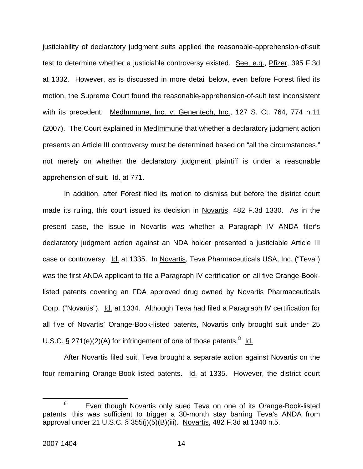justiciability of declaratory judgment suits applied the reasonable-apprehension-of-suit test to determine whether a justiciable controversy existed. See, e.g., Pfizer, 395 F.3d at 1332. However, as is discussed in more detail below, even before Forest filed its motion, the Supreme Court found the reasonable-apprehension-of-suit test inconsistent with its precedent. MedImmune, Inc. v. Genentech, Inc., 127 S. Ct. 764, 774 n.11 (2007). The Court explained in MedImmune that whether a declaratory judgment action presents an Article III controversy must be determined based on "all the circumstances," not merely on whether the declaratory judgment plaintiff is under a reasonable apprehension of suit. Id. at 771.

In addition, after Forest filed its motion to dismiss but before the district court made its ruling, this court issued its decision in Novartis, 482 F.3d 1330. As in the present case, the issue in Novartis was whether a Paragraph IV ANDA filer's declaratory judgment action against an NDA holder presented a justiciable Article III case or controversy. Id. at 1335. In Novartis, Teva Pharmaceuticals USA, Inc. ("Teva") was the first ANDA applicant to file a Paragraph IV certification on all five Orange-Booklisted patents covering an FDA approved drug owned by Novartis Pharmaceuticals Corp. ("Novartis"). Id. at 1334. Although Teva had filed a Paragraph IV certification for all five of Novartis' Orange-Book-listed patents, Novartis only brought suit under 25 U.S.C.  $\S 271(e)(2)(A)$  for infringement of one of those patents.<sup>[8](#page-14-0)</sup> ld.

After Novartis filed suit, Teva brought a separate action against Novartis on the four remaining Orange-Book-listed patents. Id. at 1335. However, the district court

<span id="page-14-0"></span> <sup>8</sup>  $8$  Even though Novartis only sued Teva on one of its Orange-Book-listed patents, this was sufficient to trigger a 30-month stay barring Teva's ANDA from approval under 21 U.S.C. § 355(j)(5)(B)(iii). Novartis, 482 F.3d at 1340 n.5.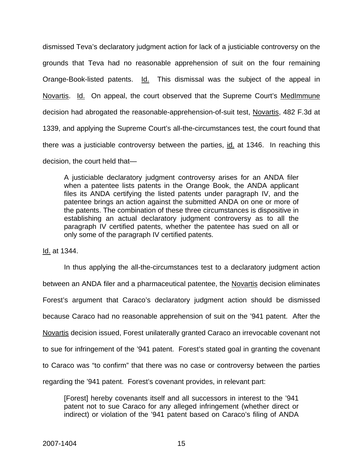dismissed Teva's declaratory judgment action for lack of a justiciable controversy on the grounds that Teva had no reasonable apprehension of suit on the four remaining Orange-Book-listed patents. Id. This dismissal was the subject of the appeal in Novartis. Id. On appeal, the court observed that the Supreme Court's MedImmune decision had abrogated the reasonable-apprehension-of-suit test, Novartis, 482 F.3d at 1339, and applying the Supreme Court's all-the-circumstances test, the court found that there was a justiciable controversy between the parties, id. at 1346. In reaching this decision, the court held that—

A justiciable declaratory judgment controversy arises for an ANDA filer when a patentee lists patents in the Orange Book, the ANDA applicant files its ANDA certifying the listed patents under paragraph IV, and the patentee brings an action against the submitted ANDA on one or more of the patents. The combination of these three circumstances is dispositive in establishing an actual declaratory judgment controversy as to all the paragraph IV certified patents, whether the patentee has sued on all or only some of the paragraph IV certified patents.

Id. at 1344.

In thus applying the all-the-circumstances test to a declaratory judgment action between an ANDA filer and a pharmaceutical patentee, the Novartis decision eliminates Forest's argument that Caraco's declaratory judgment action should be dismissed because Caraco had no reasonable apprehension of suit on the '941 patent. After the Novartis decision issued, Forest unilaterally granted Caraco an irrevocable covenant not to sue for infringement of the '941 patent. Forest's stated goal in granting the covenant to Caraco was "to confirm" that there was no case or controversy between the parties regarding the '941 patent. Forest's covenant provides, in relevant part:

[Forest] hereby covenants itself and all successors in interest to the '941 patent not to sue Caraco for any alleged infringement (whether direct or indirect) or violation of the '941 patent based on Caraco's filing of ANDA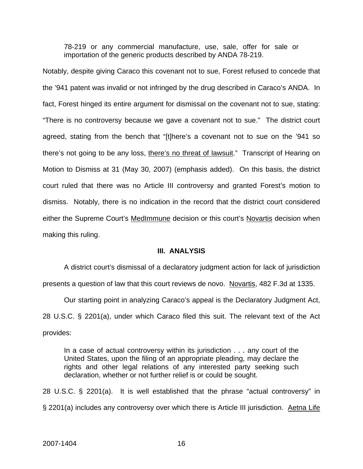78-219 or any commercial manufacture, use, sale, offer for sale or importation of the generic products described by ANDA 78-219.

Notably, despite giving Caraco this covenant not to sue, Forest refused to concede that the '941 patent was invalid or not infringed by the drug described in Caraco's ANDA.In fact, Forest hinged its entire argument for dismissal on the covenant not to sue, stating: "There is no controversy because we gave a covenant not to sue."The district court agreed, stating from the bench that "[t]here's a covenant not to sue on the '941 so there's not going to be any loss, there's no threat of lawsuit."Transcript of Hearing on Motion to Dismiss at 31 (May 30, 2007) (emphasis added). On this basis, the district court ruled that there was no Article III controversy and granted Forest's motion to dismiss.Notably, there is no indication in the record that the district court considered either the Supreme Court's MedImmune decision or this court's Novartis decision when making this ruling.

#### **III. ANALYSIS**

A district court's dismissal of a declaratory judgment action for lack of jurisdiction presents a question of law that this court reviews de novo. Novartis, 482 F.3d at 1335.

Our starting point in analyzing Caraco's appeal is the Declaratory Judgment Act, 28 U.S.C. § 2201(a), under which Caraco filed this suit. The relevant text of the Act provides:

In a case of actual controversy within its jurisdiction . . . any court of the United States, upon the filing of an appropriate pleading, may declare the rights and other legal relations of any interested party seeking such declaration, whether or not further relief is or could be sought.

28 U.S.C. § 2201(a). It is well established that the phrase "actual controversy" in § 2201(a) includes any controversy over which there is Article III jurisdiction. Aetna Life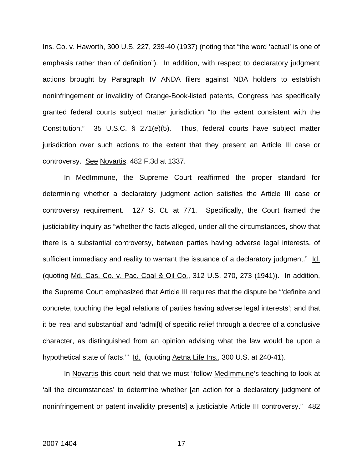Ins. Co. v. Haworth, 300 U.S. 227, 239-40 (1937) (noting that "the word 'actual' is one of emphasis rather than of definition"). In addition, with respect to declaratory judgment actions brought by Paragraph IV ANDA filers against NDA holders to establish noninfringement or invalidity of Orange-Book-listed patents, Congress has specifically granted federal courts subject matter jurisdiction "to the extent consistent with the Constitution." 35 U.S.C. § 271(e)(5). Thus, federal courts have subject matter jurisdiction over such actions to the extent that they present an Article III case or controversy. See Novartis, 482 F.3d at 1337.

In MedImmune, the Supreme Court reaffirmed the proper standard for determining whether a declaratory judgment action satisfies the Article III case or controversy requirement. 127 S. Ct. at 771. Specifically, the Court framed the justiciability inquiry as "whether the facts alleged, under all the circumstances, show that there is a substantial controversy, between parties having adverse legal interests, of sufficient immediacy and reality to warrant the issuance of a declaratory judgment." Id. (quoting Md. Cas. Co. v. Pac. Coal & Oil Co., 312 U.S. 270, 273 (1941)). In addition, the Supreme Court emphasized that Article III requires that the dispute be "'definite and concrete, touching the legal relations of parties having adverse legal interests'; and that it be 'real and substantial' and 'admi[t] of specific relief through a decree of a conclusive character, as distinguished from an opinion advising what the law would be upon a hypothetical state of facts." Id. (quoting Aetna Life Ins., 300 U.S. at 240-41).

In Novartis this court held that we must "follow MedImmune's teaching to look at 'all the circumstances' to determine whether [an action for a declaratory judgment of noninfringement or patent invalidity presents] a justiciable Article III controversy." 482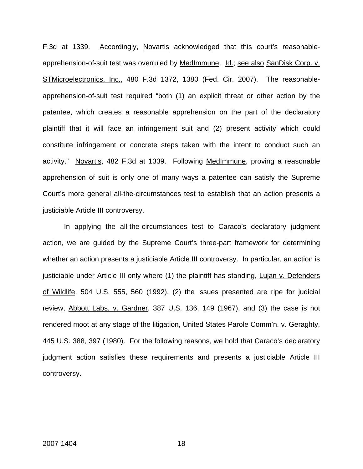F.3d at 1339. Accordingly, Novartis acknowledged that this court's reasonableapprehension-of-suit test was overruled by MedImmune. Id.; see also SanDisk Corp. v. STMicroelectronics, Inc., 480 F.3d 1372, 1380 (Fed. Cir. 2007). The reasonableapprehension-of-suit test required "both (1) an explicit threat or other action by the patentee, which creates a reasonable apprehension on the part of the declaratory plaintiff that it will face an infringement suit and (2) present activity which could constitute infringement or concrete steps taken with the intent to conduct such an activity." Novartis, 482 F.3d at 1339. Following MedImmune, proving a reasonable apprehension of suit is only one of many ways a patentee can satisfy the Supreme Court's more general all-the-circumstances test to establish that an action presents a justiciable Article III controversy.

In applying the all-the-circumstances test to Caraco's declaratory judgment action, we are guided by the Supreme Court's three-part framework for determining whether an action presents a justiciable Article III controversy. In particular, an action is justiciable under Article III only where (1) the plaintiff has standing, Lujan v. Defenders of Wildlife, 504 U.S. 555, 560 (1992), (2) the issues presented are ripe for judicial review, Abbott Labs. v. Gardner, 387 U.S. 136, 149 (1967), and (3) the case is not rendered moot at any stage of the litigation, United States Parole Comm'n. v. Geraghty, 445 U.S. 388, 397 (1980). For the following reasons, we hold that Caraco's declaratory judgment action satisfies these requirements and presents a justiciable Article III controversy.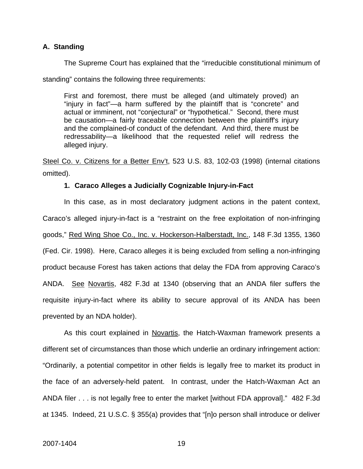#### **A. Standing**

The Supreme Court has explained that the "irreducible constitutional minimum of

standing" contains the following three requirements:

First and foremost, there must be alleged (and ultimately proved) an "injury in fact"—a harm suffered by the plaintiff that is "concrete" and actual or imminent, not "conjectural" or "hypothetical." Second, there must be causation—a fairly traceable connection between the plaintiff's injury and the complained-of conduct of the defendant. And third, there must be redressability—a likelihood that the requested relief will redress the alleged injury.

Steel Co. v. Citizens for a Better Env't, 523 U.S. 83, 102-03 (1998) (internal citations omitted).

#### **1. Caraco Alleges a Judicially Cognizable Injury-in-Fact**

In this case, as in most declaratory judgment actions in the patent context, Caraco's alleged injury-in-fact is a "restraint on the free exploitation of non-infringing goods," Red Wing Shoe Co., Inc. v. Hockerson-Halberstadt, Inc., 148 F.3d 1355, 1360 (Fed. Cir. 1998). Here, Caraco alleges it is being excluded from selling a non-infringing product because Forest has taken actions that delay the FDA from approving Caraco's ANDA. See Novartis, 482 F.3d at 1340 (observing that an ANDA filer suffers the requisite injury-in-fact where its ability to secure approval of its ANDA has been prevented by an NDA holder).

As this court explained in Novartis, the Hatch-Waxman framework presents a different set of circumstances than those which underlie an ordinary infringement action: "Ordinarily, a potential competitor in other fields is legally free to market its product in the face of an adversely-held patent. In contrast, under the Hatch-Waxman Act an ANDA filer . . . is not legally free to enter the market [without FDA approval]." 482 F.3d at 1345. Indeed, 21 U.S.C. § 355(a) provides that "[n]o person shall introduce or deliver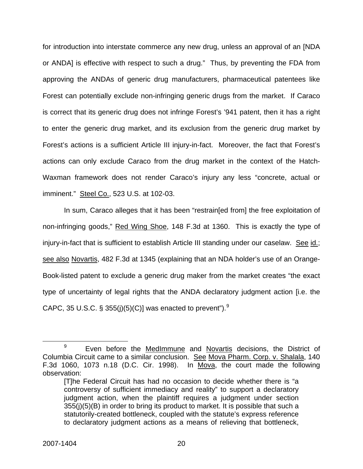for introduction into interstate commerce any new drug, unless an approval of an [NDA or ANDA] is effective with respect to such a drug." Thus, by preventing the FDA from approving the ANDAs of generic drug manufacturers, pharmaceutical patentees like Forest can potentially exclude non-infringing generic drugs from the market. If Caraco is correct that its generic drug does not infringe Forest's '941 patent, then it has a right to enter the generic drug market, and its exclusion from the generic drug market by Forest's actions is a sufficient Article III injury-in-fact. Moreover, the fact that Forest's actions can only exclude Caraco from the drug market in the context of the Hatch-Waxman framework does not render Caraco's injury any less "concrete, actual or imminent." Steel Co., 523 U.S. at 102-03.

In sum, Caraco alleges that it has been "restrain[ed from] the free exploitation of non-infringing goods," Red Wing Shoe, 148 F.3d at 1360. This is exactly the type of injury-in-fact that is sufficient to establish Article III standing under our caselaw. See id.; see also Novartis, 482 F.3d at 1345 (explaining that an NDA holder's use of an Orange-Book-listed patent to exclude a generic drug maker from the market creates "the exact type of uncertainty of legal rights that the ANDA declaratory judgment action [i.e. the CAPC, 35 U.S.C. § 355(j)(5)(C)] was enacted to prevent"). $^{9}$  $^{9}$  $^{9}$ 

<span id="page-20-0"></span> <sup>9</sup> <sup>9</sup> Even before the MedImmune and Novartis decisions, the District of Columbia Circuit came to a similar conclusion. See Mova Pharm. Corp. v. Shalala, 140 F.3d 1060, 1073 n.18 (D.C. Cir. 1998). In Mova, the court made the following observation:

<sup>[</sup>T]he Federal Circuit has had no occasion to decide whether there is "a controversy of sufficient immediacy and reality" to support a declaratory judgment action, when the plaintiff requires a judgment under section 355(j)(5)(B) in order to bring its product to market. It is possible that such a statutorily-created bottleneck, coupled with the statute's express reference to declaratory judgment actions as a means of relieving that bottleneck,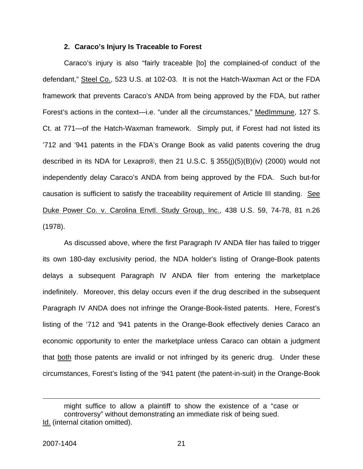#### **2. Caraco's Injury Is Traceable to Forest**

Caraco's injury is also "fairly traceable [to] the complained-of conduct of the defendant," Steel Co., 523 U.S. at 102-03. It is not the Hatch-Waxman Act or the FDA framework that prevents Caraco's ANDA from being approved by the FDA, but rather Forest's actions in the context—i.e. "under all the circumstances," MedImmune, 127 S. Ct. at 771—of the Hatch-Waxman framework. Simply put, if Forest had not listed its '712 and '941 patents in the FDA's Orange Book as valid patents covering the drug described in its NDA for Lexapro®, then 21 U.S.C. § 355(j)(5)(B)(iv) (2000) would not independently delay Caraco's ANDA from being approved by the FDA. Such but-for causation is sufficient to satisfy the traceability requirement of Article III standing. See Duke Power Co. v. Carolina Envtl. Study Group, Inc., 438 U.S. 59, 74-78, 81 n.26 (1978).

As discussed above, where the first Paragraph IV ANDA filer has failed to trigger its own 180-day exclusivity period, the NDA holder's listing of Orange-Book patents delays a subsequent Paragraph IV ANDA filer from entering the marketplace indefinitely. Moreover, this delay occurs even if the drug described in the subsequent Paragraph IV ANDA does not infringe the Orange-Book-listed patents. Here, Forest's listing of the '712 and '941 patents in the Orange-Book effectively denies Caraco an economic opportunity to enter the marketplace unless Caraco can obtain a judgment that both those patents are invalid or not infringed by its generic drug. Under these circumstances, Forest's listing of the '941 patent (the patent-in-suit) in the Orange-Book

 $\overline{a}$ 

might suffice to allow a plaintiff to show the existence of a "case or controversy" without demonstrating an immediate risk of being sued. Id. (internal citation omitted).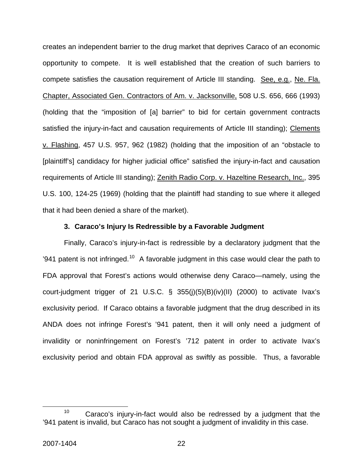creates an independent barrier to the drug market that deprives Caraco of an economic opportunity to compete. It is well established that the creation of such barriers to compete satisfies the causation requirement of Article III standing. See, e.g., Ne. Fla. Chapter, Associated Gen. Contractors of Am. v. Jacksonville, 508 U.S. 656, 666 (1993) (holding that the "imposition of [a] barrier" to bid for certain government contracts satisfied the injury-in-fact and causation requirements of Article III standing); Clements v. Flashing, 457 U.S. 957, 962 (1982) (holding that the imposition of an "obstacle to [plaintiff's] candidacy for higher judicial office" satisfied the injury-in-fact and causation requirements of Article III standing); Zenith Radio Corp. v. Hazeltine Research, Inc., 395 U.S. 100, 124-25 (1969) (holding that the plaintiff had standing to sue where it alleged that it had been denied a share of the market).

#### **3. Caraco's Injury Is Redressible by a Favorable Judgment**

Finally, Caraco's injury-in-fact is redressible by a declaratory judgment that the '941 patent is not infringed.<sup>[10](#page-22-0)</sup> A favorable judgment in this case would clear the path to FDA approval that Forest's actions would otherwise deny Caraco—namely, using the court-judgment trigger of 21 U.S.C. § 355(j)(5)(B)(iv)(II) (2000) to activate Ivax's exclusivity period. If Caraco obtains a favorable judgment that the drug described in its ANDA does not infringe Forest's '941 patent, then it will only need a judgment of invalidity or noninfringement on Forest's '712 patent in order to activate Ivax's exclusivity period and obtain FDA approval as swiftly as possible. Thus, a favorable

<span id="page-22-0"></span> $10$  Caraco's injury-in-fact would also be redressed by a judgment that the '941 patent is invalid, but Caraco has not sought a judgment of invalidity in this case.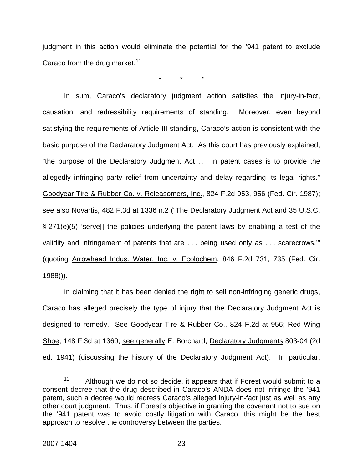judgment in this action would eliminate the potential for the '941 patent to exclude Caraco from the drug market. $11$ 

\* \* \*

In sum, Caraco's declaratory judgment action satisfies the injury-in-fact, causation, and redressibility requirements of standing. Moreover, even beyond satisfying the requirements of Article III standing, Caraco's action is consistent with the basic purpose of the Declaratory Judgment Act. As this court has previously explained, "the purpose of the Declaratory Judgment Act . . . in patent cases is to provide the allegedly infringing party relief from uncertainty and delay regarding its legal rights." Goodyear Tire & Rubber Co. v. Releasomers, Inc., 824 F.2d 953, 956 (Fed. Cir. 1987); see also Novartis, 482 F.3d at 1336 n.2 ("The Declaratory Judgment Act and 35 U.S.C. § 271(e)(5) 'serve[] the policies underlying the patent laws by enabling a test of the validity and infringement of patents that are . . . being used only as . . . scarecrows.'" (quoting Arrowhead Indus. Water, Inc. v. Ecolochem, 846 F.2d 731, 735 (Fed. Cir. 1988))).

In claiming that it has been denied the right to sell non-infringing generic drugs, Caraco has alleged precisely the type of injury that the Declaratory Judgment Act is designed to remedy. See Goodyear Tire & Rubber Co., 824 F.2d at 956; Red Wing Shoe, 148 F.3d at 1360; see generally E. Borchard, Declaratory Judgments 803-04 (2d ed. 1941) (discussing the history of the Declaratory Judgment Act). In particular,

<span id="page-23-0"></span><sup>&</sup>lt;sup>11</sup> Although we do not so decide, it appears that if Forest would submit to a consent decree that the drug described in Caraco's ANDA does not infringe the '941 patent, such a decree would redress Caraco's alleged injury-in-fact just as well as any other court judgment. Thus, if Forest's objective in granting the covenant not to sue on the '941 patent was to avoid costly litigation with Caraco, this might be the best approach to resolve the controversy between the parties.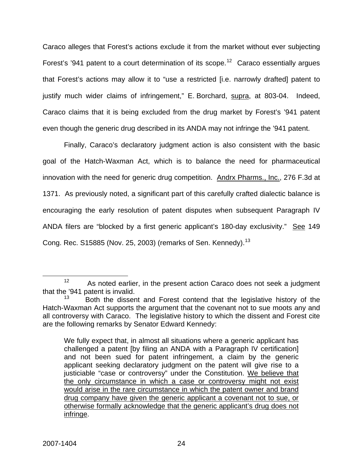Caraco alleges that Forest's actions exclude it from the market without ever subjecting Forest's '941 patent to a court determination of its scope.<sup>[12](#page-24-0)</sup> Caraco essentially argues that Forest's actions may allow it to "use a restricted [i.e. narrowly drafted] patent to justify much wider claims of infringement," E. Borchard, supra, at 803-04. Indeed, Caraco claims that it is being excluded from the drug market by Forest's '941 patent even though the generic drug described in its ANDA may not infringe the '941 patent.

Finally, Caraco's declaratory judgment action is also consistent with the basic goal of the Hatch-Waxman Act, which is to balance the need for pharmaceutical innovation with the need for generic drug competition. Andrx Pharms., Inc., 276 F.3d at 1371. As previously noted, a significant part of this carefully crafted dialectic balance is encouraging the early resolution of patent disputes when subsequent Paragraph IV ANDA filers are "blocked by a first generic applicant's 180-day exclusivity." See 149 Cong. Rec. S15885 (Nov. 25, 2003) (remarks of Sen. Kennedy).<sup>[13](#page-24-1)</sup>

<span id="page-24-0"></span> $12$  As noted earlier, in the present action Caraco does not seek a judgment that the '941 patent is invalid.

<span id="page-24-1"></span>Both the dissent and Forest contend that the legislative history of the Hatch-Waxman Act supports the argument that the covenant not to sue moots any and all controversy with Caraco. The legislative history to which the dissent and Forest cite are the following remarks by Senator Edward Kennedy:

We fully expect that, in almost all situations where a generic applicant has challenged a patent [by filing an ANDA with a Paragraph IV certification] and not been sued for patent infringement, a claim by the generic applicant seeking declaratory judgment on the patent will give rise to a justiciable "case or controversy" under the Constitution. We believe that the only circumstance in which a case or controversy might not exist would arise in the rare circumstance in which the patent owner and brand drug company have given the generic applicant a covenant not to sue, or otherwise formally acknowledge that the generic applicant's drug does not infringe.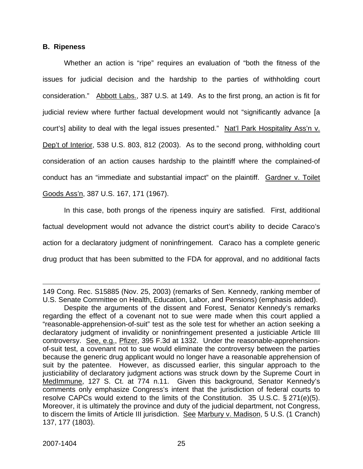#### **B. Ripeness**

Whether an action is "ripe" requires an evaluation of "both the fitness of the issues for judicial decision and the hardship to the parties of withholding court consideration." Abbott Labs., 387 U.S. at 149. As to the first prong, an action is fit for judicial review where further factual development would not "significantly advance [a court's] ability to deal with the legal issues presented." Nat'l Park Hospitality Ass'n v. Dep't of Interior, 538 U.S. 803, 812 (2003). As to the second prong, withholding court consideration of an action causes hardship to the plaintiff where the complained-of conduct has an "immediate and substantial impact" on the plaintiff. Gardner v. Toilet Goods Ass'n, 387 U.S. 167, 171 (1967).

In this case, both prongs of the ripeness inquiry are satisfied. First, additional factual development would not advance the district court's ability to decide Caraco's action for a declaratory judgment of noninfringement. Caraco has a complete generic drug product that has been submitted to the FDA for approval, and no additional facts

1

<sup>149</sup> Cong. Rec. S15885 (Nov. 25, 2003) (remarks of Sen. Kennedy, ranking member of U.S. Senate Committee on Health, Education, Labor, and Pensions) (emphasis added).

Despite the arguments of the dissent and Forest, Senator Kennedy's remarks regarding the effect of a covenant not to sue were made when this court applied a "reasonable-apprehension-of-suit" test as the sole test for whether an action seeking a declaratory judgment of invalidity or noninfringement presented a justiciable Article III controversy. See, e.g., Pfizer, 395 F.3d at 1332. Under the reasonable-apprehensionof-suit test, a covenant not to sue would eliminate the controversy between the parties because the generic drug applicant would no longer have a reasonable apprehension of suit by the patentee. However, as discussed earlier, this singular approach to the justiciability of declaratory judgment actions was struck down by the Supreme Court in MedImmune, 127 S. Ct. at 774 n.11. Given this background, Senator Kennedy's comments only emphasize Congress's intent that the jurisdiction of federal courts to resolve CAPCs would extend to the limits of the Constitution. 35 U.S.C. § 271(e)(5). Moreover, it is ultimately the province and duty of the judicial department, not Congress, to discern the limits of Article III jurisdiction. See Marbury v. Madison, 5 U.S. (1 Cranch) 137, 177 (1803).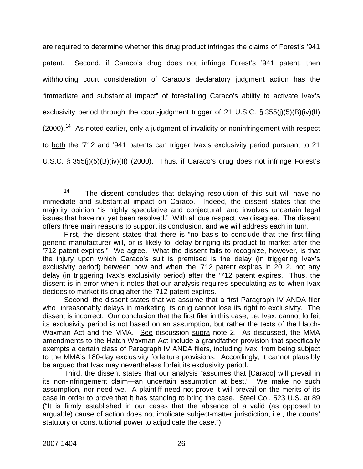are required to determine whether this drug product infringes the claims of Forest's '941 patent. Second, if Caraco's drug does not infringe Forest's '941 patent, then withholding court consideration of Caraco's declaratory judgment action has the "immediate and substantial impact" of forestalling Caraco's ability to activate Ivax's exclusivity period through the court-judgment trigger of 21 U.S.C. § 355(j)(5)(B)(iv)(II) (2000).<sup>[14](#page-26-0)</sup> As noted earlier, only a judgment of invalidity or noninfringement with respect to both the '712 and '941 patents can trigger Ivax's exclusivity period pursuant to 21 U.S.C. § 355(j)(5)(B)(iv)(II) (2000). Thus, if Caraco's drug does not infringe Forest's

<span id="page-26-0"></span> $14$  The dissent concludes that delaying resolution of this suit will have no immediate and substantial impact on Caraco. Indeed, the dissent states that the majority opinion "is highly speculative and conjectural, and involves uncertain legal issues that have not yet been resolved." With all due respect, we disagree. The dissent offers three main reasons to support its conclusion, and we will address each in turn.

First, the dissent states that there is "no basis to conclude that the first-filing generic manufacturer will, or is likely to, delay bringing its product to market after the '712 patent expires." We agree. What the dissent fails to recognize, however, is that the injury upon which Caraco's suit is premised is the delay (in triggering Ivax's exclusivity period) between now and when the '712 patent expires in 2012, not any delay (in triggering Ivax's exclusivity period) after the '712 patent expires. Thus, the dissent is in error when it notes that our analysis requires speculating as to when Ivax decides to market its drug after the '712 patent expires.

Second, the dissent states that we assume that a first Paragraph IV ANDA filer who unreasonably delays in marketing its drug cannot lose its right to exclusivity. The dissent is incorrect. Our conclusion that the first filer in this case, i.e. Ivax, cannot forfeit its exclusivity period is not based on an assumption, but rather the texts of the Hatch-Waxman Act and the MMA. See discussion supra note 2. As discussed, the MMA amendments to the Hatch-Waxman Act include a grandfather provision that specifically exempts a certain class of Paragraph IV ANDA filers, including Ivax, from being subject to the MMA's 180-day exclusivity forfeiture provisions. Accordingly, it cannot plausibly be argued that Ivax may nevertheless forfeit its exclusivity period.

Third, the dissent states that our analysis "assumes that [Caraco] will prevail in its non-infringement claim—an uncertain assumption at best." We make no such assumption, nor need we. A plaintiff need not prove it will prevail on the merits of its case in order to prove that it has standing to bring the case. Steel Co., 523 U.S. at 89 ("It is firmly established in our cases that the absence of a valid (as opposed to arguable) cause of action does not implicate subject-matter jurisdiction, i.e., the courts' statutory or constitutional power to adjudicate the case.").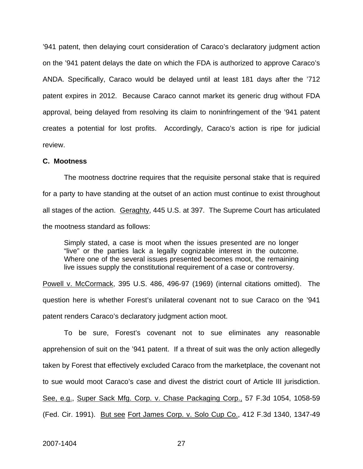'941 patent, then delaying court consideration of Caraco's declaratory judgment action on the '941 patent delays the date on which the FDA is authorized to approve Caraco's ANDA. Specifically, Caraco would be delayed until at least 181 days after the '712 patent expires in 2012. Because Caraco cannot market its generic drug without FDA approval, being delayed from resolving its claim to noninfringement of the '941 patent creates a potential for lost profits. Accordingly, Caraco's action is ripe for judicial review.

#### **C. Mootness**

The mootness doctrine requires that the requisite personal stake that is required for a party to have standing at the outset of an action must continue to exist throughout all stages of the action. Geraghty, 445 U.S. at 397. The Supreme Court has articulated the mootness standard as follows:

Simply stated, a case is moot when the issues presented are no longer "live" or the parties lack a legally cognizable interest in the outcome. Where one of the several issues presented becomes moot, the remaining live issues supply the constitutional requirement of a case or controversy.

Powell v. McCormack, 395 U.S. 486, 496-97 (1969) (internal citations omitted). The question here is whether Forest's unilateral covenant not to sue Caraco on the '941 patent renders Caraco's declaratory judgment action moot.

To be sure, Forest's covenant not to sue eliminates any reasonable apprehension of suit on the '941 patent. If a threat of suit was the only action allegedly taken by Forest that effectively excluded Caraco from the marketplace, the covenant not to sue would moot Caraco's case and divest the district court of Article III jurisdiction. See, e.g., Super Sack Mfg. Corp. v. Chase Packaging Corp., 57 F.3d 1054, 1058-59 (Fed. Cir. 1991). But see Fort James Corp. v. Solo Cup Co., 412 F.3d 1340, 1347-49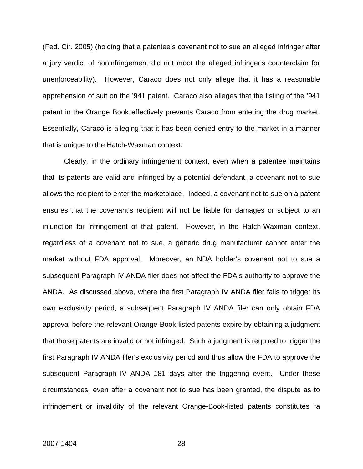(Fed. Cir. 2005) (holding that a patentee's covenant not to sue an alleged infringer after a jury verdict of noninfringement did not moot the alleged infringer's counterclaim for unenforceability). However, Caraco does not only allege that it has a reasonable apprehension of suit on the '941 patent. Caraco also alleges that the listing of the '941 patent in the Orange Book effectively prevents Caraco from entering the drug market. Essentially, Caraco is alleging that it has been denied entry to the market in a manner that is unique to the Hatch-Waxman context.

Clearly, in the ordinary infringement context, even when a patentee maintains that its patents are valid and infringed by a potential defendant, a covenant not to sue allows the recipient to enter the marketplace. Indeed, a covenant not to sue on a patent ensures that the covenant's recipient will not be liable for damages or subject to an injunction for infringement of that patent. However, in the Hatch-Waxman context, regardless of a covenant not to sue, a generic drug manufacturer cannot enter the market without FDA approval. Moreover, an NDA holder's covenant not to sue a subsequent Paragraph IV ANDA filer does not affect the FDA's authority to approve the ANDA. As discussed above, where the first Paragraph IV ANDA filer fails to trigger its own exclusivity period, a subsequent Paragraph IV ANDA filer can only obtain FDA approval before the relevant Orange-Book-listed patents expire by obtaining a judgment that those patents are invalid or not infringed.Such a judgment is required to trigger the first Paragraph IV ANDA filer's exclusivity period and thus allow the FDA to approve the subsequent Paragraph IV ANDA 181 days after the triggering event. Under these circumstances, even after a covenant not to sue has been granted, the dispute as to infringement or invalidity of the relevant Orange-Book-listed patents constitutes "a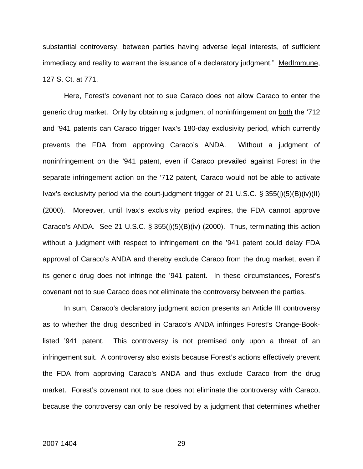substantial controversy, between parties having adverse legal interests, of sufficient immediacy and reality to warrant the issuance of a declaratory judgment." MedImmune, 127 S. Ct. at 771.

Here, Forest's covenant not to sue Caraco does not allow Caraco to enter the generic drug market. Only by obtaining a judgment of noninfringement on both the '712 and '941 patents can Caraco trigger Ivax's 180-day exclusivity period, which currently prevents the FDA from approving Caraco's ANDA. Without a judgment of noninfringement on the '941 patent, even if Caraco prevailed against Forest in the separate infringement action on the '712 patent, Caraco would not be able to activate Ivax's exclusivity period via the court-judgment trigger of 21 U.S.C. § 355(j)(5)(B)(iv)(II) (2000). Moreover, until Ivax's exclusivity period expires, the FDA cannot approve Caraco's ANDA. See 21 U.S.C. § 355(j)(5)(B)(iv) (2000). Thus, terminating this action without a judgment with respect to infringement on the '941 patent could delay FDA approval of Caraco's ANDA and thereby exclude Caraco from the drug market, even if its generic drug does not infringe the '941 patent. In these circumstances, Forest's covenant not to sue Caraco does not eliminate the controversy between the parties.

In sum, Caraco's declaratory judgment action presents an Article III controversy as to whether the drug described in Caraco's ANDA infringes Forest's Orange-Booklisted '941 patent. This controversy is not premised only upon a threat of an infringement suit. A controversy also exists because Forest's actions effectively prevent the FDA from approving Caraco's ANDA and thus exclude Caraco from the drug market. Forest's covenant not to sue does not eliminate the controversy with Caraco, because the controversy can only be resolved by a judgment that determines whether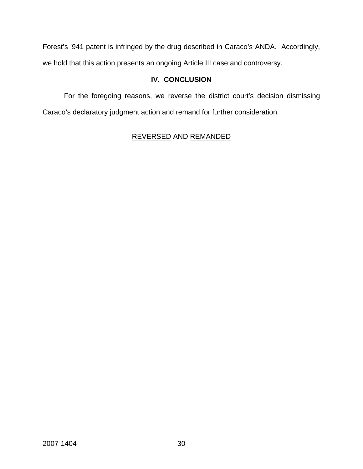Forest's '941 patent is infringed by the drug described in Caraco's ANDA. Accordingly, we hold that this action presents an ongoing Article III case and controversy.

# **IV. CONCLUSION**

 For the foregoing reasons, we reverse the district court's decision dismissing Caraco's declaratory judgment action and remand for further consideration.

# REVERSED AND REMANDED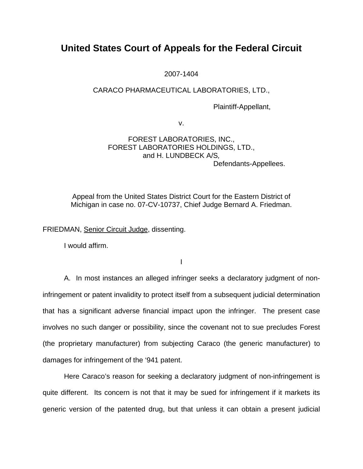# **United States Court of Appeals for the Federal Circuit**

2007-1404

## CARACO PHARMACEUTICAL LABORATORIES, LTD.,

Plaintiff-Appellant,

v.

#### FOREST LABORATORIES, INC., FOREST LABORATORIES HOLDINGS, LTD., and H. LUNDBECK A/S*,*  Defendants-Appellees.

Appeal from the United States District Court for the Eastern District of Michigan in case no. 07-CV-10737, Chief Judge Bernard A. Friedman.

FRIEDMAN, Senior Circuit Judge, dissenting.

I would affirm.

I

 A. In most instances an alleged infringer seeks a declaratory judgment of noninfringement or patent invalidity to protect itself from a subsequent judicial determination that has a significant adverse financial impact upon the infringer. The present case involves no such danger or possibility, since the covenant not to sue precludes Forest (the proprietary manufacturer) from subjecting Caraco (the generic manufacturer) to damages for infringement of the '941 patent.

 Here Caraco's reason for seeking a declaratory judgment of non-infringement is quite different. Its concern is not that it may be sued for infringement if it markets its generic version of the patented drug, but that unless it can obtain a present judicial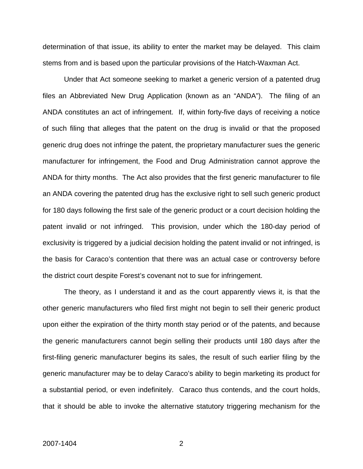determination of that issue, its ability to enter the market may be delayed. This claim stems from and is based upon the particular provisions of the Hatch-Waxman Act.

 Under that Act someone seeking to market a generic version of a patented drug files an Abbreviated New Drug Application (known as an "ANDA"). The filing of an ANDA constitutes an act of infringement. If, within forty-five days of receiving a notice of such filing that alleges that the patent on the drug is invalid or that the proposed generic drug does not infringe the patent, the proprietary manufacturer sues the generic manufacturer for infringement, the Food and Drug Administration cannot approve the ANDA for thirty months. The Act also provides that the first generic manufacturer to file an ANDA covering the patented drug has the exclusive right to sell such generic product for 180 days following the first sale of the generic product or a court decision holding the patent invalid or not infringed. This provision, under which the 180-day period of exclusivity is triggered by a judicial decision holding the patent invalid or not infringed, is the basis for Caraco's contention that there was an actual case or controversy before the district court despite Forest's covenant not to sue for infringement.

 The theory, as I understand it and as the court apparently views it, is that the other generic manufacturers who filed first might not begin to sell their generic product upon either the expiration of the thirty month stay period or of the patents, and because the generic manufacturers cannot begin selling their products until 180 days after the first-filing generic manufacturer begins its sales, the result of such earlier filing by the generic manufacturer may be to delay Caraco's ability to begin marketing its product for a substantial period, or even indefinitely. Caraco thus contends, and the court holds, that it should be able to invoke the alternative statutory triggering mechanism for the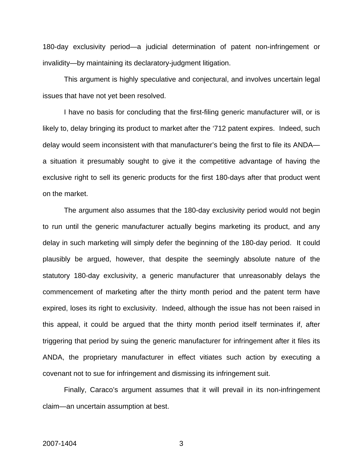180-day exclusivity period—a judicial determination of patent non-infringement or invalidity—by maintaining its declaratory-judgment litigation.

 This argument is highly speculative and conjectural, and involves uncertain legal issues that have not yet been resolved.

 I have no basis for concluding that the first-filing generic manufacturer will, or is likely to, delay bringing its product to market after the '712 patent expires. Indeed, such delay would seem inconsistent with that manufacturer's being the first to file its ANDA a situation it presumably sought to give it the competitive advantage of having the exclusive right to sell its generic products for the first 180-days after that product went on the market.

 The argument also assumes that the 180-day exclusivity period would not begin to run until the generic manufacturer actually begins marketing its product, and any delay in such marketing will simply defer the beginning of the 180-day period. It could plausibly be argued, however, that despite the seemingly absolute nature of the statutory 180-day exclusivity, a generic manufacturer that unreasonably delays the commencement of marketing after the thirty month period and the patent term have expired, loses its right to exclusivity. Indeed, although the issue has not been raised in this appeal, it could be argued that the thirty month period itself terminates if, after triggering that period by suing the generic manufacturer for infringement after it files its ANDA, the proprietary manufacturer in effect vitiates such action by executing a covenant not to sue for infringement and dismissing its infringement suit.

 Finally, Caraco's argument assumes that it will prevail in its non-infringement claim—an uncertain assumption at best.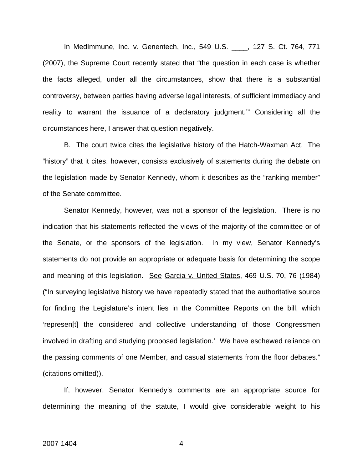In MedImmune, Inc. v. Genentech, Inc., 549 U.S. \_\_\_\_, 127 S. Ct. 764, 771 (2007), the Supreme Court recently stated that "the question in each case is whether the facts alleged, under all the circumstances, show that there is a substantial controversy, between parties having adverse legal interests, of sufficient immediacy and reality to warrant the issuance of a declaratory judgment.'" Considering all the circumstances here, I answer that question negatively.

 B. The court twice cites the legislative history of the Hatch-Waxman Act. The "history" that it cites, however, consists exclusively of statements during the debate on the legislation made by Senator Kennedy, whom it describes as the "ranking member" of the Senate committee.

 Senator Kennedy, however, was not a sponsor of the legislation. There is no indication that his statements reflected the views of the majority of the committee or of the Senate, or the sponsors of the legislation. In my view, Senator Kennedy's statements do not provide an appropriate or adequate basis for determining the scope and meaning of this legislation. See Garcia v. United States, 469 U.S. 70, 76 (1984) ("In surveying legislative history we have repeatedly stated that the authoritative source for finding the Legislature's intent lies in the Committee Reports on the bill, which 'represen[t] the considered and collective understanding of those Congressmen involved in drafting and studying proposed legislation.' We have eschewed reliance on the passing comments of one Member, and casual statements from the floor debates." (citations omitted)).

 If, however, Senator Kennedy's comments are an appropriate source for determining the meaning of the statute, I would give considerable weight to his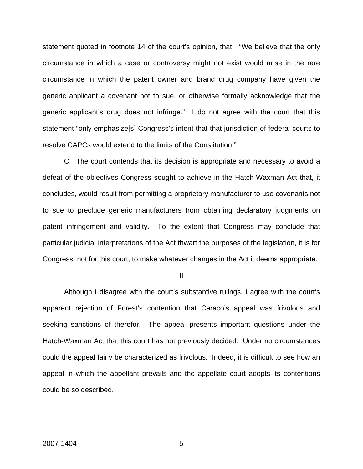statement quoted in footnote 14 of the court's opinion, that: "We believe that the only circumstance in which a case or controversy might not exist would arise in the rare circumstance in which the patent owner and brand drug company have given the generic applicant a covenant not to sue, or otherwise formally acknowledge that the generic applicant's drug does not infringe." I do not agree with the court that this statement "only emphasize[s] Congress's intent that that jurisdiction of federal courts to resolve CAPCs would extend to the limits of the Constitution."

 C. The court contends that its decision is appropriate and necessary to avoid a defeat of the objectives Congress sought to achieve in the Hatch-Waxman Act that, it concludes, would result from permitting a proprietary manufacturer to use covenants not to sue to preclude generic manufacturers from obtaining declaratory judgments on patent infringement and validity. To the extent that Congress may conclude that particular judicial interpretations of the Act thwart the purposes of the legislation, it is for Congress, not for this court, to make whatever changes in the Act it deems appropriate.

II

 Although I disagree with the court's substantive rulings, I agree with the court's apparent rejection of Forest's contention that Caraco's appeal was frivolous and seeking sanctions of therefor. The appeal presents important questions under the Hatch-Waxman Act that this court has not previously decided. Under no circumstances could the appeal fairly be characterized as frivolous. Indeed, it is difficult to see how an appeal in which the appellant prevails and the appellate court adopts its contentions could be so described.